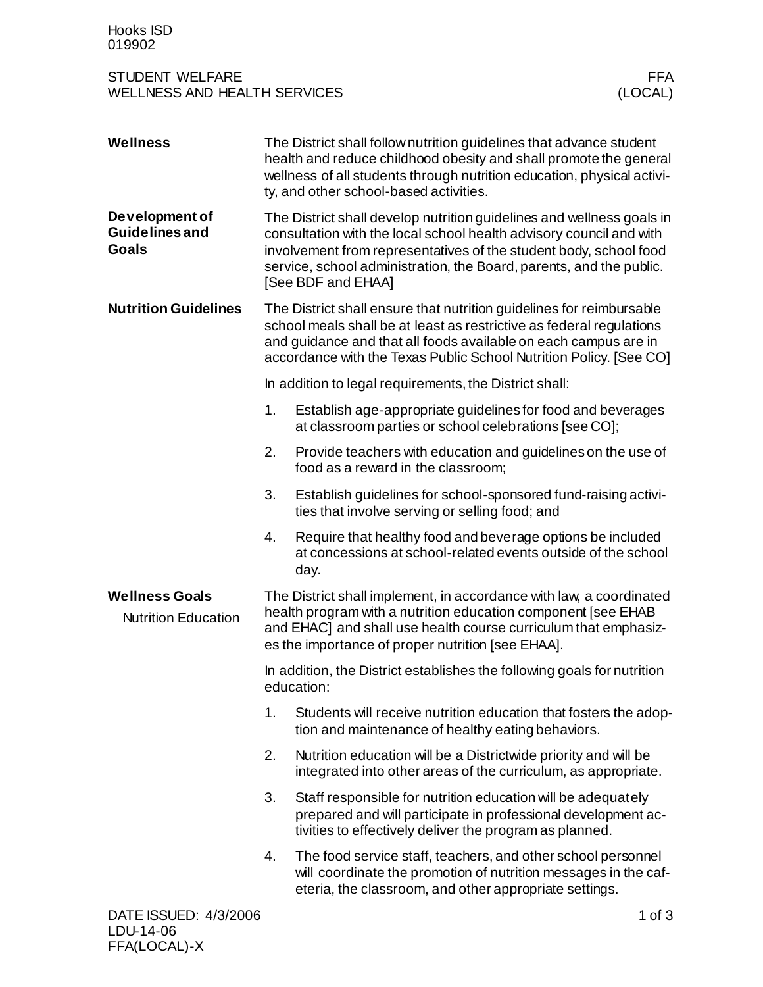## STUDENT WELFARE FFA<br>WELLNESS AND HEALTH SERVICES WELLNESS (LOCAL) WELLNESS AND HEALTH SERVICES

| <b>Wellness</b>                                         |                                                                                                                                                                                                                                                                                                                | The District shall follow nutrition guidelines that advance student<br>health and reduce childhood obesity and shall promote the general<br>wellness of all students through nutrition education, physical activi-<br>ty, and other school-based activities. |  |
|---------------------------------------------------------|----------------------------------------------------------------------------------------------------------------------------------------------------------------------------------------------------------------------------------------------------------------------------------------------------------------|--------------------------------------------------------------------------------------------------------------------------------------------------------------------------------------------------------------------------------------------------------------|--|
| Development of<br><b>Guidelines and</b><br><b>Goals</b> | The District shall develop nutrition guidelines and wellness goals in<br>consultation with the local school health advisory council and with<br>involvement from representatives of the student body, school food<br>service, school administration, the Board, parents, and the public.<br>[See BDF and EHAA] |                                                                                                                                                                                                                                                              |  |
| <b>Nutrition Guidelines</b>                             | The District shall ensure that nutrition guidelines for reimbursable<br>school meals shall be at least as restrictive as federal regulations<br>and guidance and that all foods available on each campus are in<br>accordance with the Texas Public School Nutrition Policy. [See CO]                          |                                                                                                                                                                                                                                                              |  |
|                                                         | In addition to legal requirements, the District shall:                                                                                                                                                                                                                                                         |                                                                                                                                                                                                                                                              |  |
|                                                         | 1.                                                                                                                                                                                                                                                                                                             | Establish age-appropriate guidelines for food and beverages<br>at classroom parties or school celebrations [see CO];                                                                                                                                         |  |
|                                                         | 2.                                                                                                                                                                                                                                                                                                             | Provide teachers with education and guidelines on the use of<br>food as a reward in the classroom;                                                                                                                                                           |  |
|                                                         | 3.                                                                                                                                                                                                                                                                                                             | Establish guidelines for school-sponsored fund-raising activi-<br>ties that involve serving or selling food; and                                                                                                                                             |  |
|                                                         | 4.                                                                                                                                                                                                                                                                                                             | Require that healthy food and beverage options be included<br>at concessions at school-related events outside of the school<br>day.                                                                                                                          |  |
| <b>Wellness Goals</b><br><b>Nutrition Education</b>     | The District shall implement, in accordance with law, a coordinated<br>health program with a nutrition education component [see EHAB<br>and EHAC] and shall use health course curriculum that emphasiz-<br>es the importance of proper nutrition [see EHAA].                                                   |                                                                                                                                                                                                                                                              |  |
|                                                         | In addition, the District establishes the following goals for nutrition<br>education:                                                                                                                                                                                                                          |                                                                                                                                                                                                                                                              |  |
|                                                         | 1.                                                                                                                                                                                                                                                                                                             | Students will receive nutrition education that fosters the adop-<br>tion and maintenance of healthy eating behaviors.                                                                                                                                        |  |
|                                                         | 2.                                                                                                                                                                                                                                                                                                             | Nutrition education will be a Districtwide priority and will be<br>integrated into other areas of the curriculum, as appropriate.                                                                                                                            |  |
|                                                         | 3.                                                                                                                                                                                                                                                                                                             | Staff responsible for nutrition education will be adequately<br>prepared and will participate in professional development ac-<br>tivities to effectively deliver the program as planned.                                                                     |  |
|                                                         | 4.                                                                                                                                                                                                                                                                                                             | The food service staff, teachers, and other school personnel<br>will coordinate the promotion of nutrition messages in the caf-<br>eteria, the classroom, and other appropriate settings.                                                                    |  |
| DATE ISSUED: 4/3/2006                                   |                                                                                                                                                                                                                                                                                                                | $1$ of $3$                                                                                                                                                                                                                                                   |  |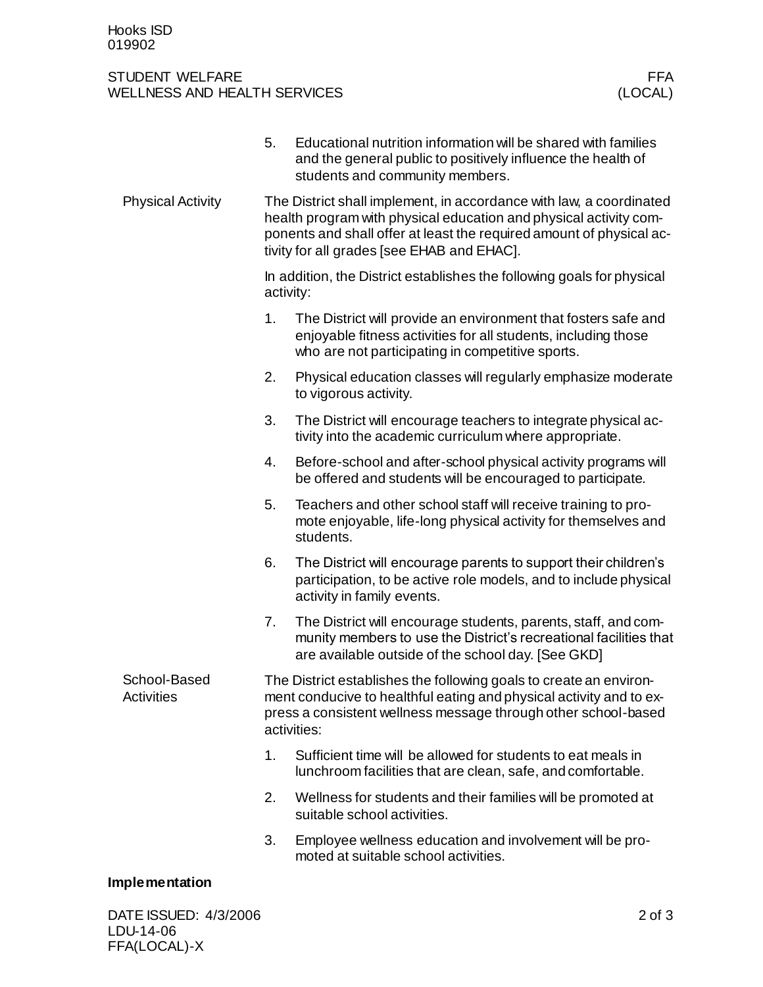## STUDENT WELFARE FFA<br>WELLNESS AND HEALTH SERVICES (LOCAL) WELLNESS AND HEALTH SERVICES

|                            | 5.                                                                                                                                                                                                                                                             | Educational nutrition information will be shared with families<br>and the general public to positively influence the health of<br>students and community members.                         |  |
|----------------------------|----------------------------------------------------------------------------------------------------------------------------------------------------------------------------------------------------------------------------------------------------------------|-------------------------------------------------------------------------------------------------------------------------------------------------------------------------------------------|--|
| <b>Physical Activity</b>   | The District shall implement, in accordance with law, a coordinated<br>health program with physical education and physical activity com-<br>ponents and shall offer at least the required amount of physical ac-<br>tivity for all grades [see EHAB and EHAC]. |                                                                                                                                                                                           |  |
|                            | In addition, the District establishes the following goals for physical<br>activity:                                                                                                                                                                            |                                                                                                                                                                                           |  |
|                            | 1.                                                                                                                                                                                                                                                             | The District will provide an environment that fosters safe and<br>enjoyable fitness activities for all students, including those<br>who are not participating in competitive sports.      |  |
|                            | 2.                                                                                                                                                                                                                                                             | Physical education classes will regularly emphasize moderate<br>to vigorous activity.                                                                                                     |  |
|                            | 3.                                                                                                                                                                                                                                                             | The District will encourage teachers to integrate physical ac-<br>tivity into the academic curriculum where appropriate.                                                                  |  |
|                            | 4.                                                                                                                                                                                                                                                             | Before-school and after-school physical activity programs will<br>be offered and students will be encouraged to participate.                                                              |  |
|                            | 5.                                                                                                                                                                                                                                                             | Teachers and other school staff will receive training to pro-<br>mote enjoyable, life-long physical activity for themselves and<br>students.                                              |  |
|                            | 6.                                                                                                                                                                                                                                                             | The District will encourage parents to support their children's<br>participation, to be active role models, and to include physical<br>activity in family events.                         |  |
|                            | 7.                                                                                                                                                                                                                                                             | The District will encourage students, parents, staff, and com-<br>munity members to use the District's recreational facilities that<br>are available outside of the school day. [See GKD] |  |
| School-Based<br>Activities | The District establishes the following goals to create an environ-<br>ment conducive to healthful eating and physical activity and to ex-<br>press a consistent wellness message through other school-based<br>activities:                                     |                                                                                                                                                                                           |  |
|                            | 1.                                                                                                                                                                                                                                                             | Sufficient time will be allowed for students to eat meals in<br>lunchroom facilities that are clean, safe, and comfortable.                                                               |  |
|                            | 2.                                                                                                                                                                                                                                                             | Wellness for students and their families will be promoted at<br>suitable school activities.                                                                                               |  |
|                            | 3.                                                                                                                                                                                                                                                             | Employee wellness education and involvement will be pro-<br>moted at suitable school activities.                                                                                          |  |
|                            |                                                                                                                                                                                                                                                                |                                                                                                                                                                                           |  |

## **Implementation**

DATE ISSUED: 4/3/2006 2 of 3 LDU-14-06 FFA(LOCAL)-X